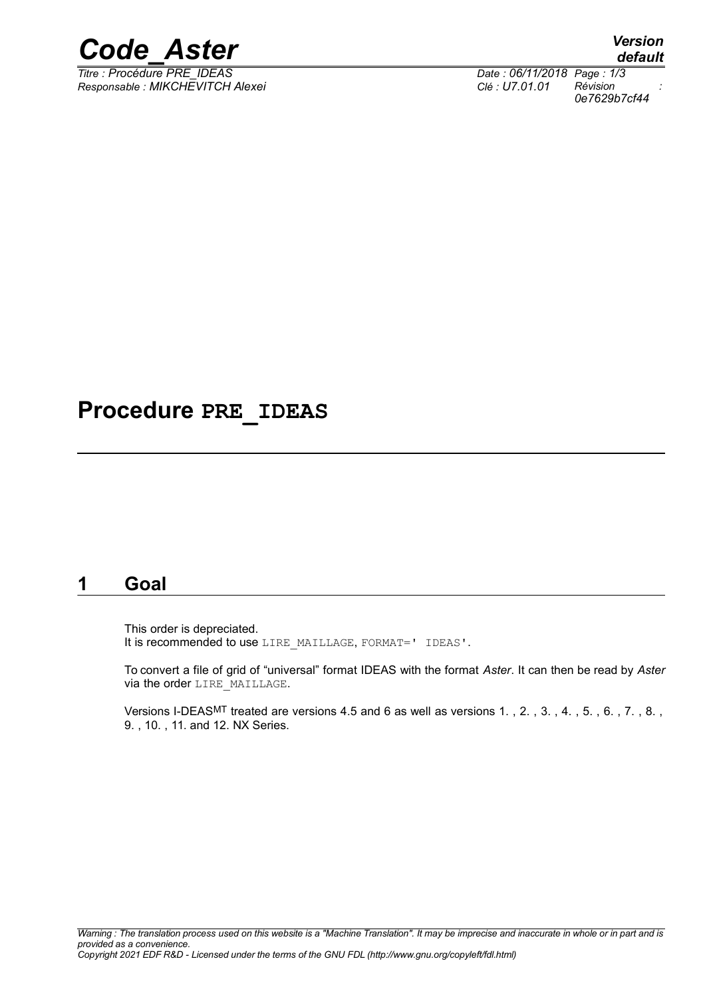

*Titre : Procédure PRE\_IDEAS Date : 06/11/2018 Page : 1/3 Responsable : MIKCHEVITCH Alexei Clé : U7.01.01 Révision :*

*0e7629b7cf44*

# **Procedure PRE\_IDEAS**

#### **1 Goal**

This order is depreciated. It is recommended to use LIRE\_MAILLAGE, FORMAT=' IDEAS'.

To convert a file of grid of "universal" format IDEAS with the format *Aster*. It can then be read by *Aster* via the order LIRE\_MAILLAGE.

Versions I-DEASMT treated are versions 4.5 and 6 as well as versions 1. , 2. , 3. , 4. , 5. , 6. , 7. , 8. , 9. , 10. , 11. and 12. NX Series.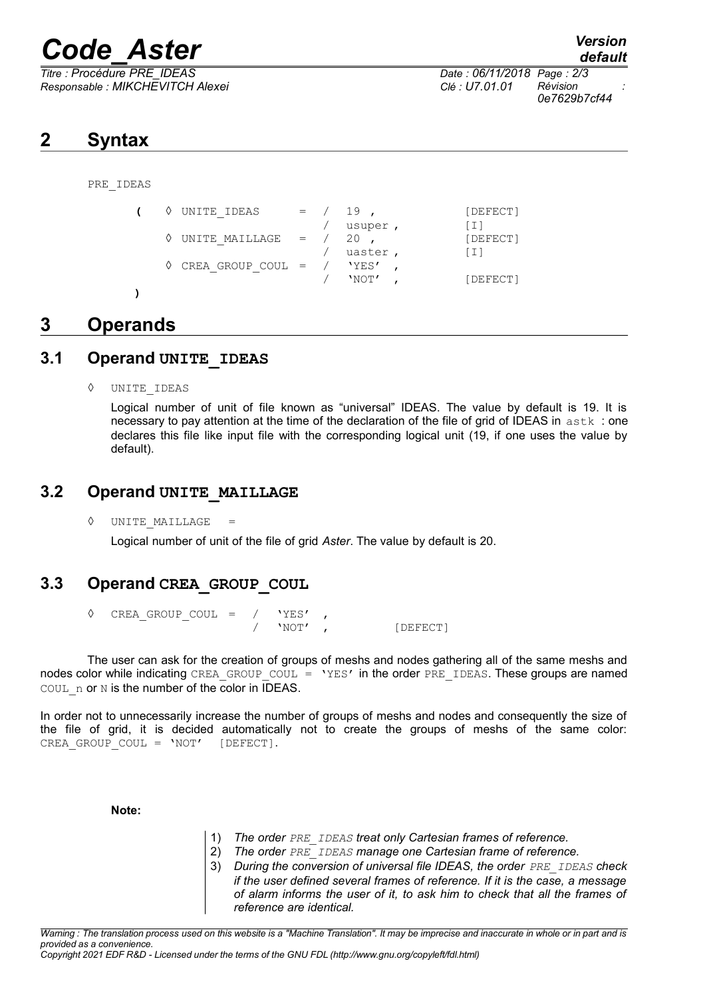# *Code\_Aster Version*

*Responsable : MIKCHEVITCH Alexei Clé : U7.01.01 Révision :*

*Titre : Procédure PRE\_IDEAS Date : 06/11/2018 Page : 2/3 0e7629b7cf44*

## **2 Syntax**

PRE\_IDEAS

 $\left(\begin{array}{cccc} \lozenge & \text{UNITE IDEAS} & = & / & 19 \end{array}\right)$ , [DEFECT] / usuper , [I]<br>/ 20 , [DE  $\sqrt{}$  UNITE MAILLAGE = / 20 , [DEFECT] / uaster , [I]  $\Diamond$  CREA GROUP COUL = / 'YES' 'NOT', [DEFECT]

### **3 Operands**

#### **3.1 Operand UNITE\_IDEAS**

◊ UNITE\_IDEAS

**)**

Logical number of unit of file known as "universal" IDEAS. The value by default is 19. It is necessary to pay attention at the time of the declaration of the file of grid of IDEAS in astk: one declares this file like input file with the corresponding logical unit (19, if one uses the value by default).

#### **3.2 Operand UNITE\_MAILLAGE**

 $\Diamond$  UNITE MAILLAGE

Logical number of unit of the file of grid *Aster*. The value by default is 20.

#### **3.3 Operand CREA\_GROUP\_COUL**

 $\begin{array}{cccc} \Diamond & \text{CREA\_GROUP\_COUT} & = & / & 'YES' \\ & & / & 'NOT' \end{array}$ [DEFECT]

The user can ask for the creation of groups of meshs and nodes gathering all of the same meshs and nodes color while indicating CREA\_GROUP\_COUL = 'YES' in the order PRE\_IDEAS. These groups are named COUL n or N is the number of the color in IDEAS.

In order not to unnecessarily increase the number of groups of meshs and nodes and consequently the size of the file of grid, it is decided automatically not to create the groups of meshs of the same color: CREA GROUP COUL = 'NOT' [DEFECT].

#### **Note:**

- 1) *The order PRE\_IDEAS treat only Cartesian frames of reference.*
- 2) *The order PRE\_IDEAS manage one Cartesian frame of reference.*
- 3) *During the conversion of universal file IDEAS, the order PRE\_IDEAS check if the user defined several frames of reference. If it is the case, a message of alarm informs the user of it, to ask him to check that all the frames of reference are identical.*

*Warning : The translation process used on this website is a "Machine Translation". It may be imprecise and inaccurate in whole or in part and is provided as a convenience. Copyright 2021 EDF R&D - Licensed under the terms of the GNU FDL (http://www.gnu.org/copyleft/fdl.html)*